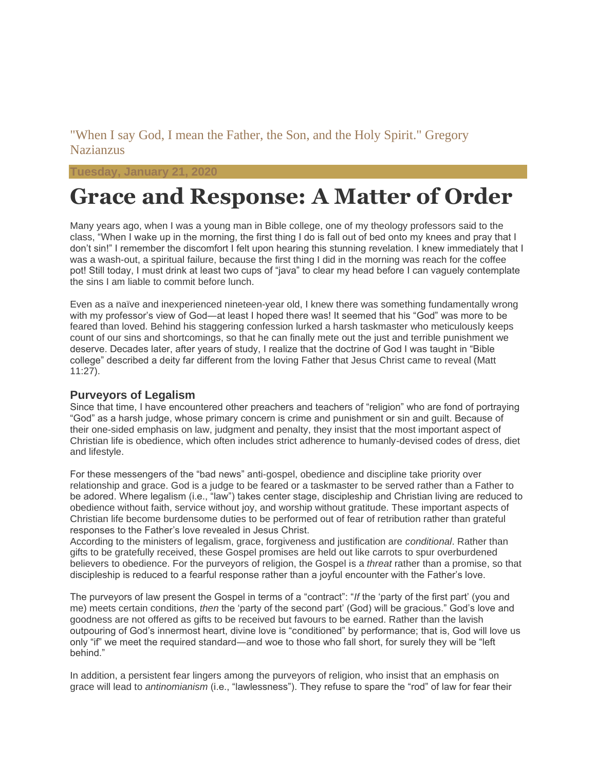### "When I say God, I mean the Father, the Son, and the Holy Spirit." Gregory Nazianzus

#### **Tuesday, January 21**

# **Grace and Response: A Matter of Order**

Many years ago, when I was a young man in Bible college, one of my theology professors said to the class, "When I wake up in the morning, the first thing I do is fall out of bed onto my knees and pray that I don't sin!" I remember the discomfort I felt upon hearing this stunning revelation. I knew immediately that I was a wash-out, a spiritual failure, because the first thing I did in the morning was reach for the coffee pot! Still today, I must drink at least two cups of "java" to clear my head before I can vaguely contemplate the sins I am liable to commit before lunch.

Even as a naïve and inexperienced nineteen-year old, I knew there was something fundamentally wrong with my professor's view of God—at least I hoped there was! It seemed that his "God" was more to be feared than loved. Behind his staggering confession lurked a harsh taskmaster who meticulously keeps count of our sins and shortcomings, so that he can finally mete out the just and terrible punishment we deserve. Decades later, after years of study, I realize that the doctrine of God I was taught in "Bible college" described a deity far different from the loving Father that Jesus Christ came to reveal (Matt 11:27).

#### **Purveyors of Legalism**

Since that time, I have encountered other preachers and teachers of "religion" who are fond of portraying "God" as a harsh judge, whose primary concern is crime and punishment or sin and guilt. Because of their one-sided emphasis on law, judgment and penalty, they insist that the most important aspect of Christian life is obedience, which often includes strict adherence to humanly-devised codes of dress, diet and lifestyle.

For these messengers of the "bad news" anti-gospel, obedience and discipline take priority over relationship and grace. God is a judge to be feared or a taskmaster to be served rather than a Father to be adored. Where legalism (i.e., "law") takes center stage, discipleship and Christian living are reduced to obedience without faith, service without joy, and worship without gratitude. These important aspects of Christian life become burdensome duties to be performed out of fear of retribution rather than grateful responses to the Father's love revealed in Jesus Christ.

According to the ministers of legalism, grace, forgiveness and justification are *conditional*. Rather than gifts to be gratefully received, these Gospel promises are held out like carrots to spur overburdened believers to obedience. For the purveyors of religion, the Gospel is a *threat* rather than a promise, so that discipleship is reduced to a fearful response rather than a joyful encounter with the Father's love.

The purveyors of law present the Gospel in terms of a "contract": "*If* the 'party of the first part' (you and me) meets certain conditions, *then* the 'party of the second part' (God) will be gracious." God's love and goodness are not offered as gifts to be received but favours to be earned. Rather than the lavish outpouring of God's innermost heart, divine love is "conditioned" by performance; that is, God will love us only "if" we meet the required standard―and woe to those who fall short, for surely they will be "left behind."

In addition, a persistent fear lingers among the purveyors of religion, who insist that an emphasis on grace will lead to *antinomianism* (i.e., "lawlessness"). They refuse to spare the "rod" of law for fear their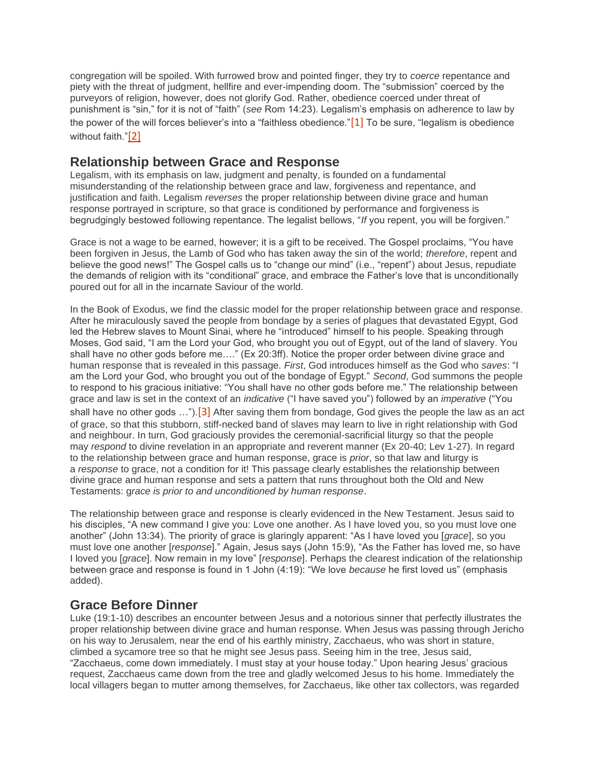congregation will be spoiled. With furrowed brow and pointed finger, they try to *coerce* repentance and piety with the threat of judgment, hellfire and ever-impending doom. The "submission" coerced by the purveyors of religion, however, does not glorify God. Rather, obedience coerced under threat of punishment is "sin," for it is not of "faith" (*see* Rom 14:23). Legalism's emphasis on adherence to law by the power of the will forces believer's into a "faithless obedience." $[1]$  To be sure, "legalism is obedience without faith."[\[2\]](file:///C:/Users/AsiAfrica%20Ministries/Documents/1.%20AsiAfrica%20Ministries/Education/Academy/Readings%20in%20Christology/Course%20202.%20Manual%20and%20Practice%20Exam.docx%23_ftn2)

### **Relationship between Grace and Response**

Legalism, with its emphasis on law, judgment and penalty, is founded on a fundamental misunderstanding of the relationship between grace and law, forgiveness and repentance, and justification and faith. Legalism *reverses* the proper relationship between divine grace and human response portrayed in scripture, so that grace is conditioned by performance and forgiveness is begrudgingly bestowed following repentance. The legalist bellows, "*If* you repent, you will be forgiven."

Grace is not a wage to be earned, however; it is a gift to be received. The Gospel proclaims, "You have been forgiven in Jesus, the Lamb of God who has taken away the sin of the world; *therefore*, repent and believe the good news!" The Gospel calls us to "change our mind" (i.e., "repent") about Jesus, repudiate the demands of religion with its "conditional" grace, and embrace the Father's love that is unconditionally poured out for all in the incarnate Saviour of the world.

In the Book of Exodus, we find the classic model for the proper relationship between grace and response. After he miraculously saved the people from bondage by a series of plagues that devastated Egypt, God led the Hebrew slaves to Mount Sinai, where he "introduced" himself to his people. Speaking through Moses, God said, "I am the Lord your God, who brought you out of Egypt, out of the land of slavery. You shall have no other gods before me…." (Ex 20:3ff). Notice the proper order between divine grace and human response that is revealed in this passage. *First*, God introduces himself as the God who *saves*: "I am the Lord your God, who brought you out of the bondage of Egypt." *Second*, God summons the people to respond to his gracious initiative: "You shall have no other gods before me." The relationship between grace and law is set in the context of an *indicative* ("I have saved you") followed by an *imperative* ("You shall have no other gods ...").<sup>[\[3\]](file:///C:/Users/AsiAfrica%20Ministries/Documents/1.%20AsiAfrica%20Ministries/Education/Academy/Readings%20in%20Christology/Course%20202.%20Manual%20and%20Practice%20Exam.docx%23_ftn3)</sup> After saving them from bondage, God gives the people the law as an act of grace, so that this stubborn, stiff-necked band of slaves may learn to live in right relationship with God and neighbour. In turn, God graciously provides the ceremonial-sacrificial liturgy so that the people may *respond* to divine revelation in an appropriate and reverent manner (Ex 20-40; Lev 1-27). In regard to the relationship between grace and human response, grace is *prior*, so that law and liturgy is a *response* to grace, not a condition for it! This passage clearly establishes the relationship between divine grace and human response and sets a pattern that runs throughout both the Old and New Testaments: g*race is prior to and unconditioned by human response*.

The relationship between grace and response is clearly evidenced in the New Testament. Jesus said to his disciples, "A new command I give you: Love one another. As I have loved you, so you must love one another" (John 13:34). The priority of grace is glaringly apparent: "As I have loved you [*grace*], so you must love one another [*response*]." Again, Jesus says (John 15:9), "As the Father has loved me, so have I loved you [*grace*]. Now remain in my love" [*response*]. Perhaps the clearest indication of the relationship between grace and response is found in 1 John (4:19): "We love *because* he first loved us" (emphasis added).

## **Grace Before Dinner**

Luke (19:1-10) describes an encounter between Jesus and a notorious sinner that perfectly illustrates the proper relationship between divine grace and human response. When Jesus was passing through Jericho on his way to Jerusalem, near the end of his earthly ministry, Zacchaeus, who was short in stature, climbed a sycamore tree so that he might see Jesus pass. Seeing him in the tree, Jesus said, "Zacchaeus, come down immediately. I must stay at your house today." Upon hearing Jesus' gracious request, Zacchaeus came down from the tree and gladly welcomed Jesus to his home. Immediately the local villagers began to mutter among themselves, for Zacchaeus, like other tax collectors, was regarded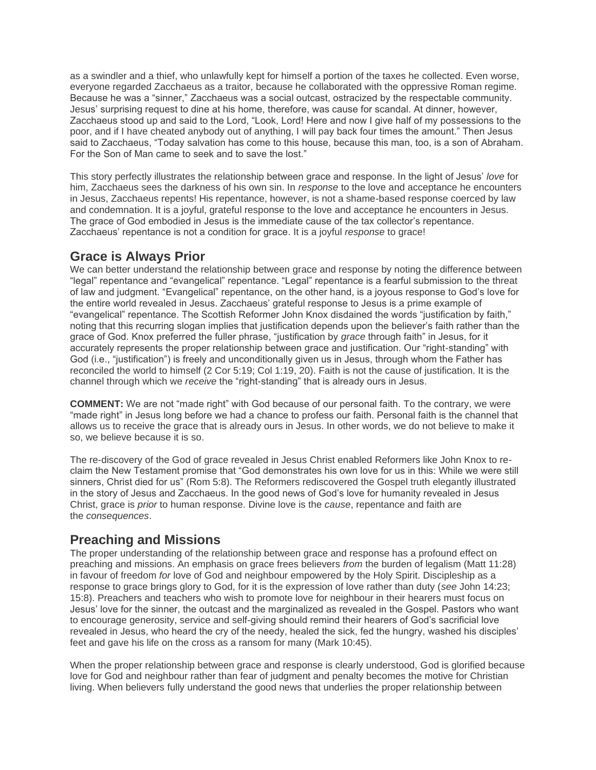as a swindler and a thief, who unlawfully kept for himself a portion of the taxes he collected. Even worse, everyone regarded Zacchaeus as a traitor, because he collaborated with the oppressive Roman regime. Because he was a "sinner," Zacchaeus was a social outcast, ostracized by the respectable community. Jesus' surprising request to dine at his home, therefore, was cause for scandal. At dinner, however, Zacchaeus stood up and said to the Lord, "Look, Lord! Here and now I give half of my possessions to the poor, and if I have cheated anybody out of anything, I will pay back four times the amount." Then Jesus said to Zacchaeus, "Today salvation has come to this house, because this man, too, is a son of Abraham. For the Son of Man came to seek and to save the lost."

This story perfectly illustrates the relationship between grace and response. In the light of Jesus' *love* for him, Zacchaeus sees the darkness of his own sin. In *response* to the love and acceptance he encounters in Jesus, Zacchaeus repents! His repentance, however, is not a shame-based response coerced by law and condemnation. It is a joyful, grateful response to the love and acceptance he encounters in Jesus. The grace of God embodied in Jesus is the immediate cause of the tax collector's repentance. Zacchaeus' repentance is not a condition for grace. It is a joyful *response* to grace!

#### **Grace is Always Prior**

We can better understand the relationship between grace and response by noting the difference between "legal" repentance and "evangelical" repentance. "Legal" repentance is a fearful submission to the threat of law and judgment. "Evangelical" repentance, on the other hand, is a joyous response to God's love for the entire world revealed in Jesus. Zacchaeus' grateful response to Jesus is a prime example of "evangelical" repentance. The Scottish Reformer John Knox disdained the words "justification by faith," noting that this recurring slogan implies that justification depends upon the believer's faith rather than the grace of God. Knox preferred the fuller phrase, "justification by *grace* through faith" in Jesus, for it accurately represents the proper relationship between grace and justification. Our "right-standing" with God (i.e., "justification") is freely and unconditionally given us in Jesus, through whom the Father has reconciled the world to himself (2 Cor 5:19; Col 1:19, 20). Faith is not the cause of justification. It is the channel through which we *receive* the "right-standing" that is already ours in Jesus.

**COMMENT:** We are not "made right" with God because of our personal faith. To the contrary, we were "made right" in Jesus long before we had a chance to profess our faith. Personal faith is the channel that allows us to receive the grace that is already ours in Jesus. In other words, we do not believe to make it so, we believe because it is so.

The re-discovery of the God of grace revealed in Jesus Christ enabled Reformers like John Knox to reclaim the New Testament promise that "God demonstrates his own love for us in this: While we were still sinners, Christ died for us" (Rom 5:8). The Reformers rediscovered the Gospel truth elegantly illustrated in the story of Jesus and Zacchaeus. In the good news of God's love for humanity revealed in Jesus Christ, grace is *prior* to human response. Divine love is the *cause*, repentance and faith are the *consequences*.

### **Preaching and Missions**

The proper understanding of the relationship between grace and response has a profound effect on preaching and missions. An emphasis on grace frees believers *from* the burden of legalism (Matt 11:28) in favour of freedom *for* love of God and neighbour empowered by the Holy Spirit. Discipleship as a response to grace brings glory to God, for it is the expression of love rather than duty (*see* John 14:23; 15:8). Preachers and teachers who wish to promote love for neighbour in their hearers must focus on Jesus' love for the sinner, the outcast and the marginalized as revealed in the Gospel. Pastors who want to encourage generosity, service and self-giving should remind their hearers of God's sacrificial love revealed in Jesus, who heard the cry of the needy, healed the sick, fed the hungry, washed his disciples' feet and gave his life on the cross as a ransom for many (Mark 10:45).

When the proper relationship between grace and response is clearly understood, God is glorified because love for God and neighbour rather than fear of judgment and penalty becomes the motive for Christian living. When believers fully understand the good news that underlies the proper relationship between